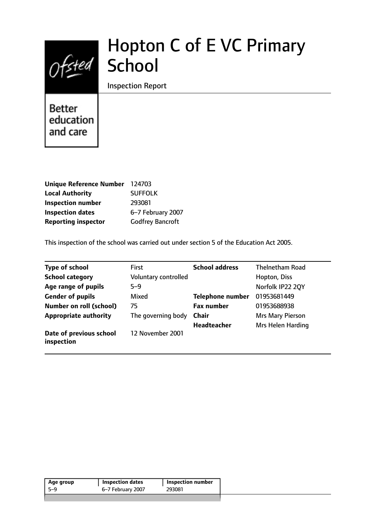

# Hopton C of E VC Primary

Inspection Report

**Better** education and care

| <b>Unique Reference Number</b> | 124703                  |
|--------------------------------|-------------------------|
| <b>Local Authority</b>         | <b>SUFFOLK</b>          |
| <b>Inspection number</b>       | 293081                  |
| <b>Inspection dates</b>        | 6-7 February 2007       |
| <b>Reporting inspector</b>     | <b>Godfrey Bancroft</b> |

This inspection of the school was carried out under section 5 of the Education Act 2005.

| <b>Type of school</b>                 | <b>First</b>         | <b>School address</b>   | <b>Thelnetham Road</b> |
|---------------------------------------|----------------------|-------------------------|------------------------|
| <b>School category</b>                | Voluntary controlled |                         | Hopton, Diss           |
| Age range of pupils                   | $5 - 9$              |                         | Norfolk IP22 20Y       |
| <b>Gender of pupils</b>               | Mixed                | <b>Telephone number</b> | 01953681449            |
| <b>Number on roll (school)</b>        | 75                   | <b>Fax number</b>       | 01953688938            |
| <b>Appropriate authority</b>          | The governing body   | <b>Chair</b>            | Mrs Mary Pierson       |
|                                       |                      | <b>Headteacher</b>      | Mrs Helen Harding      |
| Date of previous school<br>inspection | 12 November 2001     |                         |                        |

|  | <b>Inspection number</b> |        | <b>Inspection dates</b> | Age group |
|--|--------------------------|--------|-------------------------|-----------|
|  |                          | 293081 | 6–7 February 2007       | -5-9      |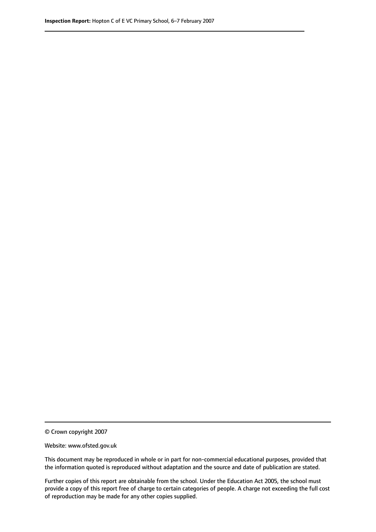© Crown copyright 2007

Website: www.ofsted.gov.uk

This document may be reproduced in whole or in part for non-commercial educational purposes, provided that the information quoted is reproduced without adaptation and the source and date of publication are stated.

Further copies of this report are obtainable from the school. Under the Education Act 2005, the school must provide a copy of this report free of charge to certain categories of people. A charge not exceeding the full cost of reproduction may be made for any other copies supplied.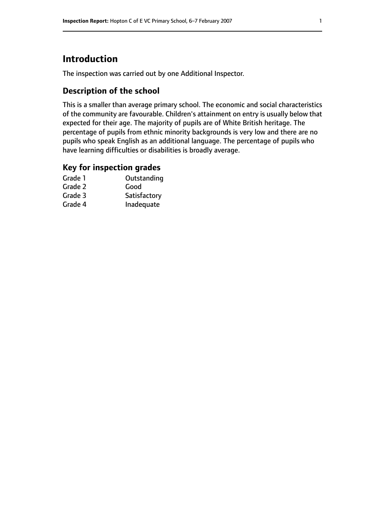# **Introduction**

The inspection was carried out by one Additional Inspector.

### **Description of the school**

This is a smaller than average primary school. The economic and social characteristics of the community are favourable. Children's attainment on entry is usually below that expected for their age. The majority of pupils are of White British heritage. The percentage of pupils from ethnic minority backgrounds is very low and there are no pupils who speak English as an additional language. The percentage of pupils who have learning difficulties or disabilities is broadly average.

#### **Key for inspection grades**

| Grade 1 | Outstanding  |
|---------|--------------|
| Grade 2 | Good         |
| Grade 3 | Satisfactory |
| Grade 4 | Inadequate   |
|         |              |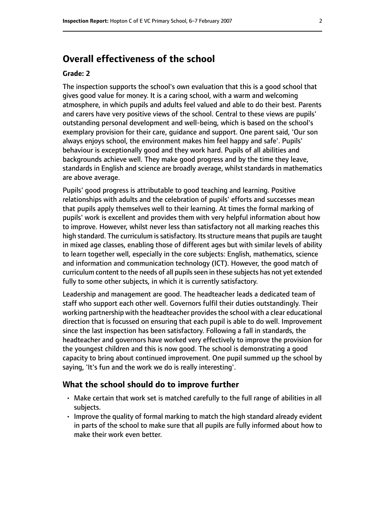# **Overall effectiveness of the school**

#### **Grade: 2**

The inspection supports the school's own evaluation that this is a good school that gives good value for money. It is a caring school, with a warm and welcoming atmosphere, in which pupils and adults feel valued and able to do their best. Parents and carers have very positive views of the school. Central to these views are pupils' outstanding personal development and well-being, which is based on the school's exemplary provision for their care, guidance and support. One parent said, 'Our son always enjoys school, the environment makes him feel happy and safe'. Pupils' behaviour is exceptionally good and they work hard. Pupils of all abilities and backgrounds achieve well. They make good progress and by the time they leave, standards in English and science are broadly average, whilst standards in mathematics are above average.

Pupils' good progress is attributable to good teaching and learning. Positive relationships with adults and the celebration of pupils' efforts and successes mean that pupils apply themselves well to their learning. At times the formal marking of pupils' work is excellent and provides them with very helpful information about how to improve. However, whilst never less than satisfactory not all marking reaches this high standard. The curriculum is satisfactory. Its structure means that pupils are taught in mixed age classes, enabling those of different ages but with similar levels of ability to learn together well, especially in the core subjects: English, mathematics, science and information and communication technology (ICT). However, the good match of curriculum content to the needs of all pupils seen in these subjects has not yet extended fully to some other subjects, in which it is currently satisfactory.

Leadership and management are good. The headteacher leads a dedicated team of staff who support each other well. Governors fulfil their duties outstandingly. Their working partnership with the headteacher provides the school with a clear educational direction that is focussed on ensuring that each pupil is able to do well. Improvement since the last inspection has been satisfactory. Following a fall in standards, the headteacher and governors have worked very effectively to improve the provision for the youngest children and this is now good. The school is demonstrating a good capacity to bring about continued improvement. One pupil summed up the school by saying, 'It's fun and the work we do is really interesting'.

#### **What the school should do to improve further**

- Make certain that work set is matched carefully to the full range of abilities in all subjects.
- Improve the quality of formal marking to match the high standard already evident in parts of the school to make sure that all pupils are fully informed about how to make their work even better.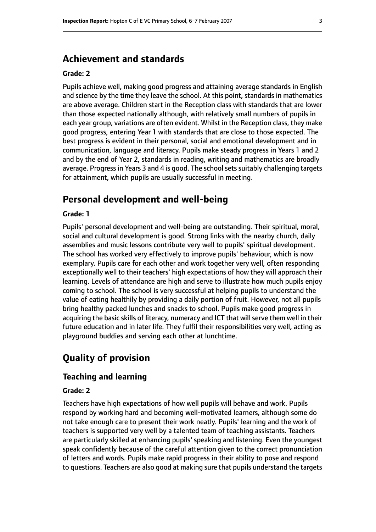# **Achievement and standards**

#### **Grade: 2**

Pupils achieve well, making good progress and attaining average standards in English and science by the time they leave the school. At this point, standards in mathematics are above average. Children start in the Reception class with standards that are lower than those expected nationally although, with relatively small numbers of pupils in each year group, variations are often evident. Whilst in the Reception class, they make good progress, entering Year 1 with standards that are close to those expected. The best progress is evident in their personal, social and emotional development and in communication, language and literacy. Pupils make steady progress in Years 1 and 2 and by the end of Year 2, standards in reading, writing and mathematics are broadly average. Progress in Years 3 and 4 is good. The school sets suitably challenging targets for attainment, which pupils are usually successful in meeting.

## **Personal development and well-being**

#### **Grade: 1**

Pupils' personal development and well-being are outstanding. Their spiritual, moral, social and cultural development is good. Strong links with the nearby church, daily assemblies and music lessons contribute very well to pupils' spiritual development. The school has worked very effectively to improve pupils' behaviour, which is now exemplary. Pupils care for each other and work together very well, often responding exceptionally well to their teachers' high expectations of how they will approach their learning. Levels of attendance are high and serve to illustrate how much pupils enjoy coming to school. The school is very successful at helping pupils to understand the value of eating healthily by providing a daily portion of fruit. However, not all pupils bring healthy packed lunches and snacks to school. Pupils make good progress in acquiring the basic skills of literacy, numeracy and ICT that will serve them well in their future education and in later life. They fulfil their responsibilities very well, acting as playground buddies and serving each other at lunchtime.

# **Quality of provision**

#### **Teaching and learning**

#### **Grade: 2**

Teachers have high expectations of how well pupils will behave and work. Pupils respond by working hard and becoming well-motivated learners, although some do not take enough care to present their work neatly. Pupils' learning and the work of teachers is supported very well by a talented team of teaching assistants. Teachers are particularly skilled at enhancing pupils' speaking and listening. Even the youngest speak confidently because of the careful attention given to the correct pronunciation of letters and words. Pupils make rapid progress in their ability to pose and respond to questions. Teachers are also good at making sure that pupils understand the targets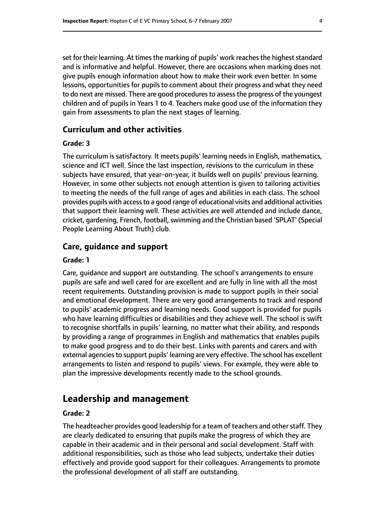set for their learning. At times the marking of pupils' work reaches the highest standard and is informative and helpful. However, there are occasions when marking does not give pupils enough information about how to make their work even better. In some lessons, opportunities for pupils to comment about their progress and what they need to do next are missed. There are good procedures to assess the progress of the youngest children and of pupils in Years 1 to 4. Teachers make good use of the information they gain from assessments to plan the next stages of learning.

#### **Curriculum and other activities**

#### **Grade: 3**

The curriculum is satisfactory. It meets pupils' learning needs in English, mathematics, science and ICT well. Since the last inspection, revisions to the curriculum in these subjects have ensured, that year-on-year, it builds well on pupils' previous learning. However, in some other subjects not enough attention is given to tailoring activities to meeting the needs of the full range of ages and abilities in each class. The school provides pupils with access to a good range of educational visits and additional activities that support their learning well. These activities are well attended and include dance, cricket, gardening, French, football, swimming and the Christian based 'SPLAT' (Special People Learning About Truth) club.

#### **Care, guidance and support**

#### **Grade: 1**

Care, guidance and support are outstanding. The school's arrangements to ensure pupils are safe and well cared for are excellent and are fully in line with all the most recent requirements. Outstanding provision is made to support pupils in their social and emotional development. There are very good arrangements to track and respond to pupils' academic progress and learning needs. Good support is provided for pupils who have learning difficulties or disabilities and they achieve well. The school is swift to recognise shortfalls in pupils' learning, no matter what their ability, and responds by providing a range of programmes in English and mathematics that enables pupils to make good progress and to do their best. Links with parents and carers and with external agencies to support pupils' learning are very effective. The school has excellent arrangements to listen and respond to pupils' views. For example, they were able to plan the impressive developments recently made to the school grounds.

#### **Leadership and management**

#### **Grade: 2**

The headteacher provides good leadership for a team of teachers and other staff. They are clearly dedicated to ensuring that pupils make the progress of which they are capable in their academic and in their personal and social development. Staff with additional responsibilities, such as those who lead subjects, undertake their duties effectively and provide good support for their colleagues. Arrangements to promote the professional development of all staff are outstanding.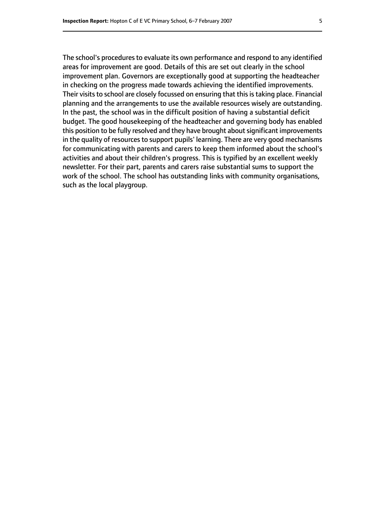The school's procedures to evaluate its own performance and respond to any identified areas for improvement are good. Details of this are set out clearly in the school improvement plan. Governors are exceptionally good at supporting the headteacher in checking on the progress made towards achieving the identified improvements. Their visits to school are closely focussed on ensuring that this is taking place. Financial planning and the arrangements to use the available resources wisely are outstanding. In the past, the school was in the difficult position of having a substantial deficit budget. The good housekeeping of the headteacher and governing body has enabled this position to be fully resolved and they have brought about significant improvements in the quality of resources to support pupils' learning. There are very good mechanisms for communicating with parents and carers to keep them informed about the school's activities and about their children's progress. This is typified by an excellent weekly newsletter. For their part, parents and carers raise substantial sums to support the work of the school. The school has outstanding links with community organisations, such as the local playgroup.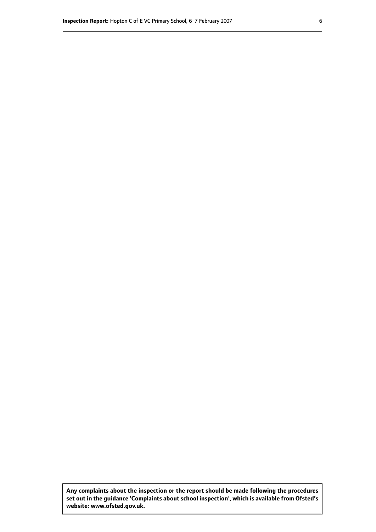**Any complaints about the inspection or the report should be made following the procedures set out inthe guidance 'Complaints about school inspection', whichis available from Ofsted's website: www.ofsted.gov.uk.**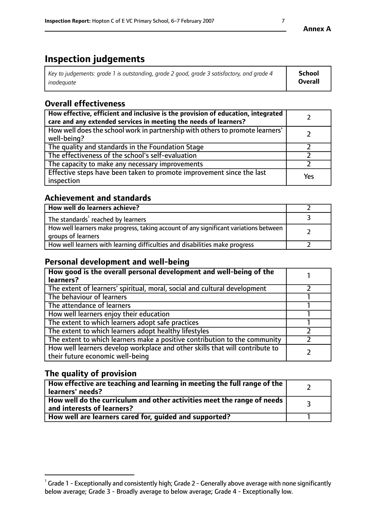# **Inspection judgements**

| Key to judgements: grade 1 is outstanding, grade 2 good, grade 3 satisfactory, and grade 4 | School         |
|--------------------------------------------------------------------------------------------|----------------|
| inadeauate                                                                                 | <b>Overall</b> |

# **Overall effectiveness**

| How effective, efficient and inclusive is the provision of education, integrated<br>care and any extended services in meeting the needs of learners? |     |
|------------------------------------------------------------------------------------------------------------------------------------------------------|-----|
| How well does the school work in partnership with others to promote learners'<br>well-being?                                                         |     |
| The quality and standards in the Foundation Stage                                                                                                    |     |
| The effectiveness of the school's self-evaluation                                                                                                    |     |
| The capacity to make any necessary improvements                                                                                                      |     |
| Effective steps have been taken to promote improvement since the last<br>inspection                                                                  | Yes |

## **Achievement and standards**

| How well do learners achieve?                                                                               |  |
|-------------------------------------------------------------------------------------------------------------|--|
| The standards <sup>1</sup> reached by learners                                                              |  |
| How well learners make progress, taking account of any significant variations between<br>groups of learners |  |
| How well learners with learning difficulties and disabilities make progress                                 |  |

## **Personal development and well-being**

| How good is the overall personal development and well-being of the<br>learners?                                  |  |
|------------------------------------------------------------------------------------------------------------------|--|
| The extent of learners' spiritual, moral, social and cultural development                                        |  |
| The behaviour of learners                                                                                        |  |
| The attendance of learners                                                                                       |  |
| How well learners enjoy their education                                                                          |  |
| The extent to which learners adopt safe practices                                                                |  |
| The extent to which learners adopt healthy lifestyles                                                            |  |
| The extent to which learners make a positive contribution to the community                                       |  |
| How well learners develop workplace and other skills that will contribute to<br>their future economic well-being |  |

# **The quality of provision**

| $\Box$ How effective are teaching and learning in meeting the full range of the $\Box$<br>  learners' needs?                |  |
|-----------------------------------------------------------------------------------------------------------------------------|--|
| $\overline{ }$ How well do the curriculum and other activities meet the range of needs<br>$\mid$ and interests of learners? |  |
| How well are learners cared for, guided and supported?                                                                      |  |

 $^1$  Grade 1 - Exceptionally and consistently high; Grade 2 - Generally above average with none significantly below average; Grade 3 - Broadly average to below average; Grade 4 - Exceptionally low.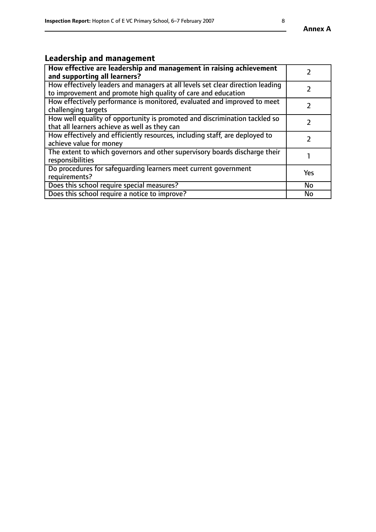# **Leadership and management**

| How effective are leadership and management in raising achievement<br>and supporting all learners?                                              |               |
|-------------------------------------------------------------------------------------------------------------------------------------------------|---------------|
| How effectively leaders and managers at all levels set clear direction leading<br>to improvement and promote high quality of care and education |               |
| How effectively performance is monitored, evaluated and improved to meet<br>challenging targets                                                 |               |
| How well equality of opportunity is promoted and discrimination tackled so<br>that all learners achieve as well as they can                     |               |
| How effectively and efficiently resources, including staff, are deployed to<br>achieve value for money                                          | $\mathcal{P}$ |
| The extent to which governors and other supervisory boards discharge their<br>responsibilities                                                  |               |
| Do procedures for safequarding learners meet current government<br>requirements?                                                                | Yes           |
| Does this school require special measures?                                                                                                      | No            |
| Does this school require a notice to improve?                                                                                                   | <b>No</b>     |